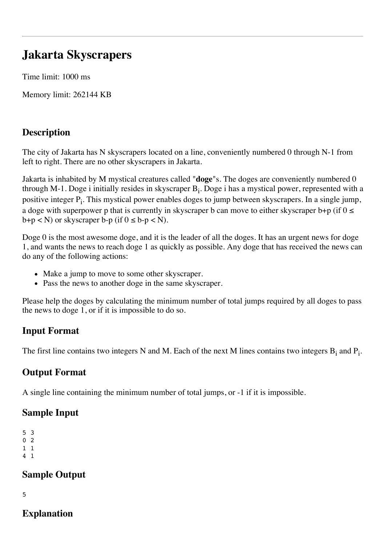# **Jakarta Skyscrapers**

Time limit: 1000 ms

Memory limit: 262144 KB

## **Description**

The city of Jakarta has N skyscrapers located on a line, conveniently numbered 0 through N-1 from left to right. There are no other skyscrapers in Jakarta.

Jakarta is inhabited by M mystical creatures called "**doge**"s. The doges are conveniently numbered 0 through M-1. Doge i initially resides in skyscraper  $B_i$ . Doge i has a mystical power, represented with a positive integer  $P_i$ . This mystical power enables doges to jump between skyscrapers. In a single jump, a doge with superpower p that is currently in skyscraper b can move to either skyscraper b+p (if  $0 \le$  $b+p < N$ ) or skyscraper  $b-p$  (if  $0 \leq b-p < N$ ).

Doge 0 is the most awesome doge, and it is the leader of all the doges. It has an urgent news for doge 1, and wants the news to reach doge 1 as quickly as possible. Any doge that has received the news can do any of the following actions:

- Make a jump to move to some other skyscraper.
- Pass the news to another doge in the same skyscraper.

Please help the doges by calculating the minimum number of total jumps required by all doges to pass the news to doge 1, or if it is impossible to do so.

# **Input Format**

The first line contains two integers N and M. Each of the next M lines contains two integers  $B_i$  and  $P_i$ .

## **Output Format**

A single line containing the minimum number of total jumps, or -1 if it is impossible.

### **Sample Input**

```
5 3
0 2
1 1
```
4 1

# **Sample Output**

5

## **Explanation**